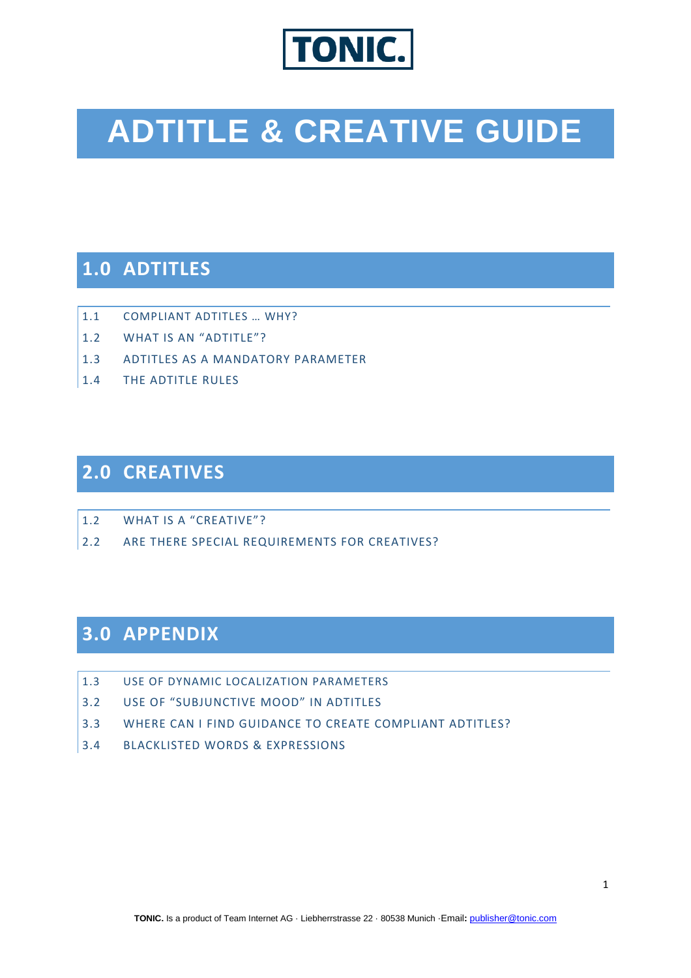

# **ADTITLE & CREATIVE GUIDE**

# **1.0 ADTITLES**

- 1.1 COMPLIANT ADTITLES … WHY?
- 1.2 WHAT IS AN "ADTITLE"?
- 1.3 ADTITLES AS A MANDATORY PARAMETER
- 1.4 THE ADTITLE RULES

# **2.0 CREATIVES**

- 1.2 WHAT IS A "CREATIVE"?
- 2.2 ARE THERE SPECIAL REQUIREMENTS FOR CREATIVES?

# **3.0 APPENDIX**

- 1.3 USE OF DYNAMIC LOCALIZATION PARAMETERS
- 3.2 USE OF "SUBJUNCTIVE MOOD" IN ADTITLES
- 3.3 WHERE CAN I FIND GUIDANCE TO CREATE COMPLIANT ADTITLES?
- 3.4 BLACKLISTED WORDS & EXPRESSIONS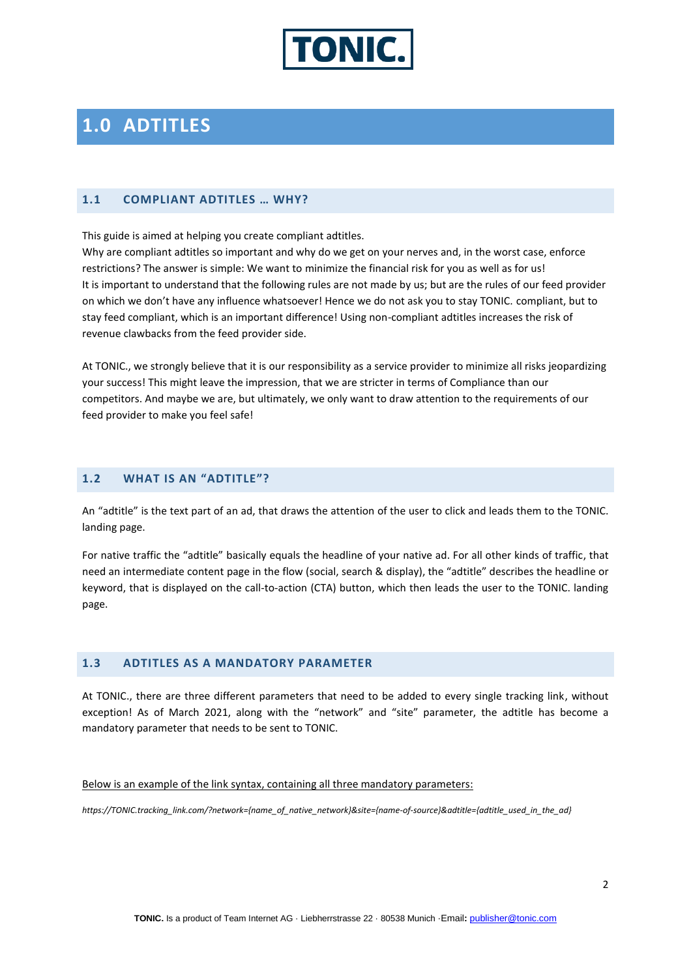

# **1.0 ADTITLES**

#### **1.1 COMPLIANT ADTITLES … WHY?**

This guide is aimed at helping you create compliant adtitles.

Why are compliant adtitles so important and why do we get on your nerves and, in the worst case, enforce restrictions? The answer is simple: We want to minimize the financial risk for you as well as for us! It is important to understand that the following rules are not made by us; but are the rules of our feed provider on which we don't have any influence whatsoever! Hence we do not ask you to stay TONIC. compliant, but to stay feed compliant, which is an important difference! Using non-compliant adtitles increases the risk of revenue clawbacks from the feed provider side.

At TONIC., we strongly believe that it is our responsibility as a service provider to minimize all risks jeopardizing your success! This might leave the impression, that we are stricter in terms of Compliance than our competitors. And maybe we are, but ultimately, we only want to draw attention to the requirements of our feed provider to make you feel safe!

#### **1.2 WHAT IS AN "ADTITLE"?**

An "adtitle" is the text part of an ad, that draws the attention of the user to click and leads them to the TONIC. landing page.

For native traffic the "adtitle" basically equals the headline of your native ad. For all other kinds of traffic, that need an intermediate content page in the flow (social, search & display), the "adtitle" describes the headline or keyword, that is displayed on the call-to-action (CTA) button, which then leads the user to the TONIC. landing page.

## **1.3 ADTITLES AS A MANDATORY PARAMETER**

At TONIC., there are three different parameters that need to be added to every single tracking link, without exception! As of March 2021, along with the "network" and "site" parameter, the adtitle has become a mandatory parameter that needs to be sent to TONIC.

#### Below is an example of the link syntax, containing all three mandatory parameters:

*https://TONIC.tracking\_link.com/?network={name\_of\_native\_network}&site={name-of-source}&adtitle={adtitle\_used\_in\_the\_ad}*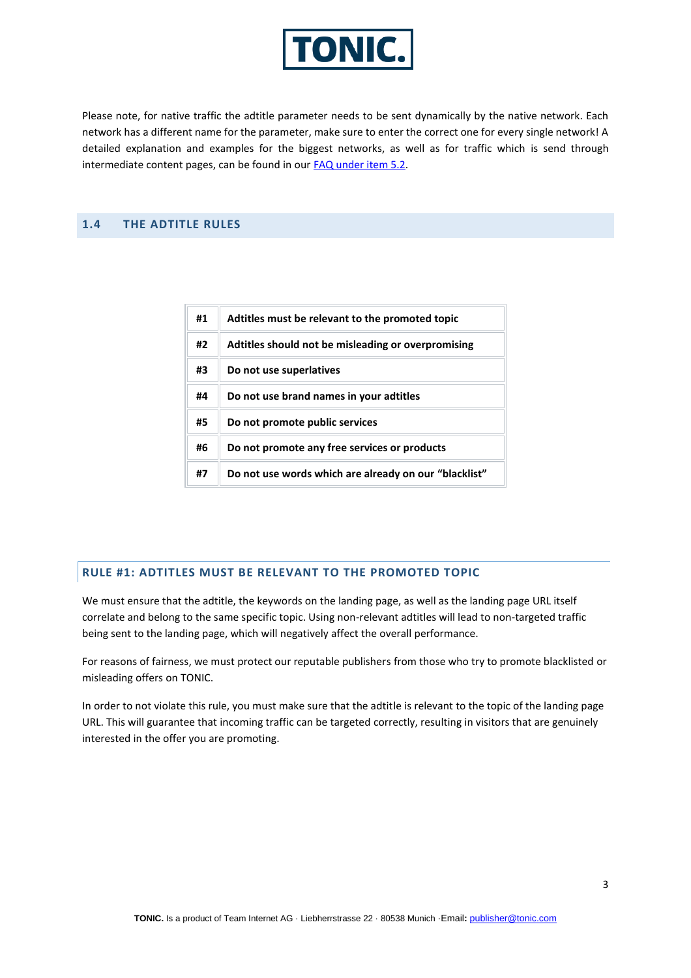

Please note, for native traffic the adtitle parameter needs to be sent dynamically by the native network. Each network has a different name for the parameter, make sure to enter the correct one for every single network! A detailed explanation and examples for the biggest networks, as well as for traffic which is send through intermediate content pages, can be found in our [FAQ under item 5.2.](https://publisher.tonic.com/privileged/faq#compliance_2)

# **1.4 THE ADTITLE RULES**

| #1 | Adtitles must be relevant to the promoted topic       |
|----|-------------------------------------------------------|
| #2 | Adtitles should not be misleading or overpromising    |
| #3 | Do not use superlatives                               |
| #4 | Do not use brand names in your adtitles               |
| #5 | Do not promote public services                        |
| #6 | Do not promote any free services or products          |
| #7 | Do not use words which are already on our "blacklist" |

## **RULE #1: ADTITLES MUST BE RELEVANT TO THE PROMOTED TOPIC**

We must ensure that the adtitle, the keywords on the landing page, as well as the landing page URL itself correlate and belong to the same specific topic. Using non-relevant adtitles will lead to non-targeted traffic being sent to the landing page, which will negatively affect the overall performance.

For reasons of fairness, we must protect our reputable publishers from those who try to promote blacklisted or misleading offers on TONIC.

In order to not violate this rule, you must make sure that the adtitle is relevant to the topic of the landing page URL. This will guarantee that incoming traffic can be targeted correctly, resulting in visitors that are genuinely interested in the offer you are promoting.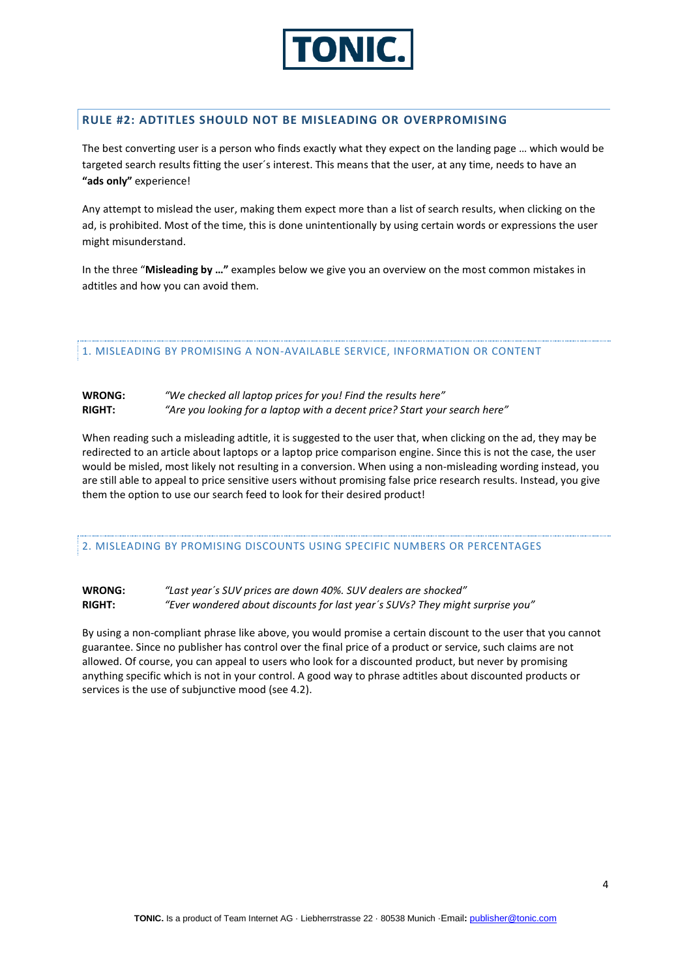

### **RULE #2: ADTITLES SHOULD NOT BE MISLEADING OR OVERPROMISING**

The best converting user is a person who finds exactly what they expect on the landing page … which would be targeted search results fitting the user´s interest. This means that the user, at any time, needs to have an **"ads only"** experience!

Any attempt to mislead the user, making them expect more than a list of search results, when clicking on the ad, is prohibited. Most of the time, this is done unintentionally by using certain words or expressions the user might misunderstand.

In the three "**Misleading by …"** examples below we give you an overview on the most common mistakes in adtitles and how you can avoid them.

1. MISLEADING BY PROMISING A NON-AVAILABLE SERVICE, INFORMATION OR CONTENT

#### **WRONG:** *"We checked all laptop prices for you! Find the results here"* **RIGHT:** *"Are you looking for a laptop with a decent price? Start your search here"*

When reading such a misleading adtitle, it is suggested to the user that, when clicking on the ad, they may be redirected to an article about laptops or a laptop price comparison engine. Since this is not the case, the user would be misled, most likely not resulting in a conversion. When using a non-misleading wording instead, you are still able to appeal to price sensitive users without promising false price research results. Instead, you give them the option to use our search feed to look for their desired product!

2. MISLEADING BY PROMISING DISCOUNTS USING SPECIFIC NUMBERS OR PERCENTAGES

**WRONG:** *"Last year´s SUV prices are down 40%. SUV dealers are shocked"* **RIGHT:** *"Ever wondered about discounts for last year´s SUVs? They might surprise you"*

By using a non-compliant phrase like above, you would promise a certain discount to the user that you cannot guarantee. Since no publisher has control over the final price of a product or service, such claims are not allowed. Of course, you can appeal to users who look for a discounted product, but never by promising anything specific which is not in your control. A good way to phrase adtitles about discounted products or services is the use of subjunctive mood (see 4.2).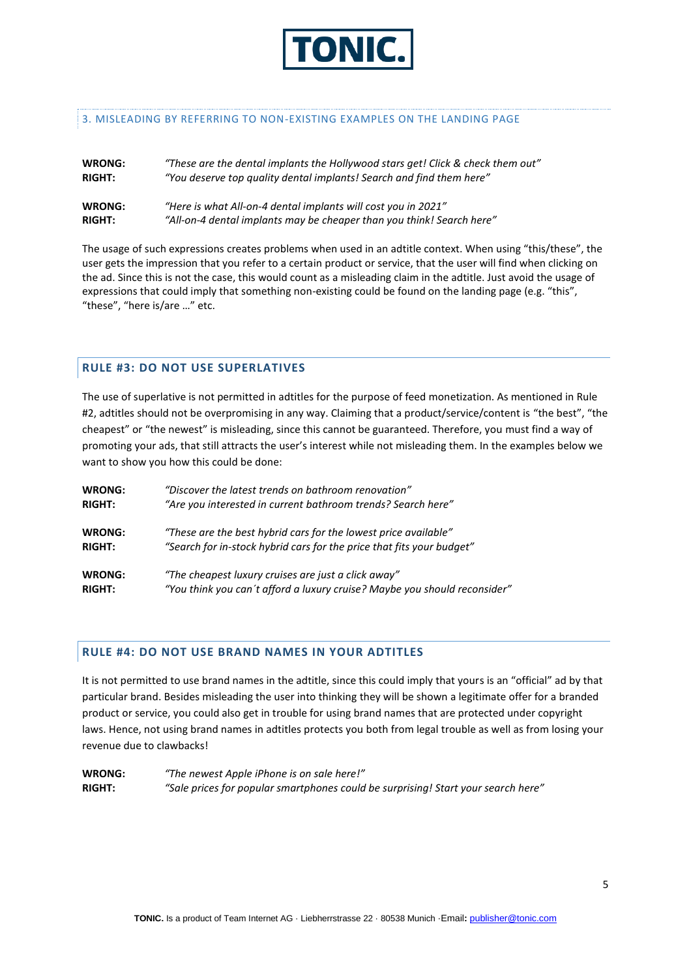

#### 3. MISLEADING BY REFERRING TO NON-EXISTING EXAMPLES ON THE LANDING PAGE

| <b>WRONG:</b> | "These are the dental implants the Hollywood stars get! Click & check them out" |
|---------------|---------------------------------------------------------------------------------|
| <b>RIGHT:</b> | "You deserve top quality dental implants! Search and find them here"            |
| WRONG:        | "Here is what All-on-4 dental implants will cost you in 2021"                   |
| <b>RIGHT:</b> | "All-on-4 dental implants may be cheaper than you think! Search here"           |

The usage of such expressions creates problems when used in an adtitle context. When using "this/these", the user gets the impression that you refer to a certain product or service, that the user will find when clicking on the ad. Since this is not the case, this would count as a misleading claim in the adtitle. Just avoid the usage of expressions that could imply that something non-existing could be found on the landing page (e.g. "this", "these", "here is/are …" etc.

#### **RULE #3: DO NOT USE SUPERLATIVES**

The use of superlative is not permitted in adtitles for the purpose of feed monetization. As mentioned in Rule #2, adtitles should not be overpromising in any way. Claiming that a product/service/content is "the best", "the cheapest" or "the newest" is misleading, since this cannot be guaranteed. Therefore, you must find a way of promoting your ads, that still attracts the user's interest while not misleading them. In the examples below we want to show you how this could be done:

| <b>WRONG:</b> | "Discover the latest trends on bathroom renovation"                       |
|---------------|---------------------------------------------------------------------------|
| <b>RIGHT:</b> | "Are you interested in current bathroom trends? Search here"              |
| <b>WRONG:</b> | "These are the best hybrid cars for the lowest price available"           |
| <b>RIGHT:</b> | "Search for in-stock hybrid cars for the price that fits your budget"     |
| <b>WRONG:</b> | "The cheapest luxury cruises are just a click away"                       |
| <b>RIGHT:</b> | "You think you can't afford a luxury cruise? Maybe you should reconsider" |

#### **RULE #4: DO NOT USE BRAND NAMES IN YOUR ADTITLES**

It is not permitted to use brand names in the adtitle, since this could imply that yours is an "official" ad by that particular brand. Besides misleading the user into thinking they will be shown a legitimate offer for a branded product or service, you could also get in trouble for using brand names that are protected under copyright laws. Hence, not using brand names in adtitles protects you both from legal trouble as well as from losing your revenue due to clawbacks!

| <b>WRONG:</b> | "The newest Apple iPhone is on sale here!"                                        |
|---------------|-----------------------------------------------------------------------------------|
| <b>RIGHT:</b> | "Sale prices for popular smartphones could be surprising! Start your search here" |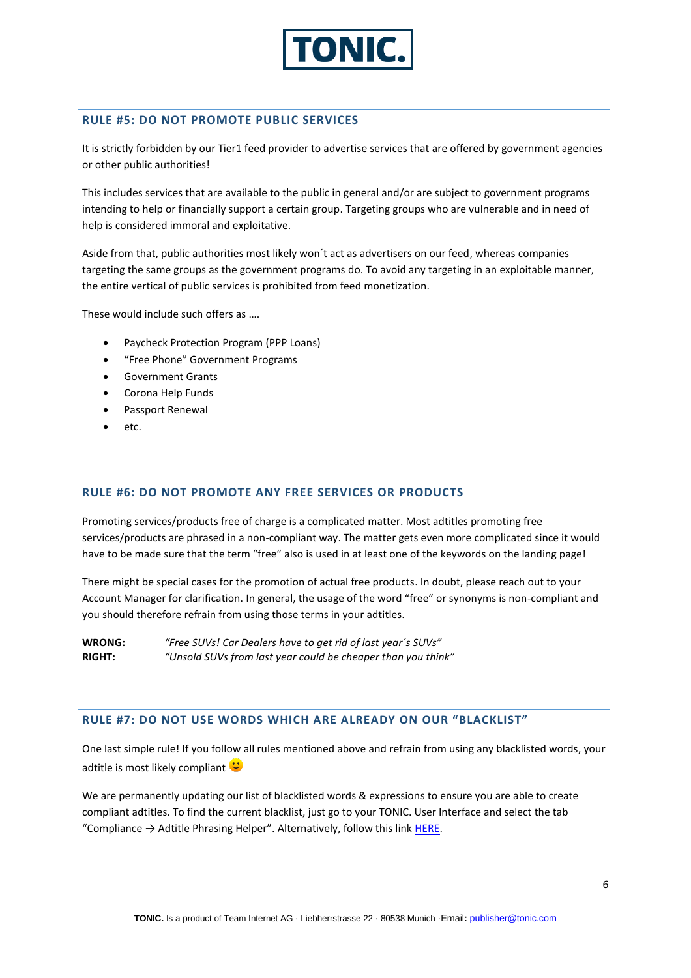

### **RULE #5: DO NOT PROMOTE PUBLIC SERVICES**

It is strictly forbidden by our Tier1 feed provider to advertise services that are offered by government agencies or other public authorities!

This includes services that are available to the public in general and/or are subject to government programs intending to help or financially support a certain group. Targeting groups who are vulnerable and in need of help is considered immoral and exploitative.

Aside from that, public authorities most likely won´t act as advertisers on our feed, whereas companies targeting the same groups as the government programs do. To avoid any targeting in an exploitable manner, the entire vertical of public services is prohibited from feed monetization.

These would include such offers as ….

- Paycheck Protection Program (PPP Loans)
- "Free Phone" Government Programs
- Government Grants
- Corona Help Funds
- Passport Renewal
- etc.

# **RULE #6: DO NOT PROMOTE ANY FREE SERVICES OR PRODUCTS**

Promoting services/products free of charge is a complicated matter. Most adtitles promoting free services/products are phrased in a non-compliant way. The matter gets even more complicated since it would have to be made sure that the term "free" also is used in at least one of the keywords on the landing page!

There might be special cases for the promotion of actual free products. In doubt, please reach out to your Account Manager for clarification. In general, the usage of the word "free" or synonyms is non-compliant and you should therefore refrain from using those terms in your adtitles.

**WRONG:** *"Free SUVs! Car Dealers have to get rid of last year´s SUVs"* **RIGHT:** *"Unsold SUVs from last year could be cheaper than you think"*

#### **RULE #7: DO NOT USE WORDS WHICH ARE ALREADY ON OUR "BLACKLIST"**

One last simple rule! If you follow all rules mentioned above and refrain from using any blacklisted words, your adtitle is most likely compliant  $\ddot{\bullet}$ 

We are permanently updating our list of blacklisted words & expressions to ensure you are able to create compliant adtitles. To find the current blacklist, just go to your TONIC. User Interface and select the tab "Compliance  $\rightarrow$  Adtitle Phrasing Helper". Alternatively, follow this link [HERE.](https://publisher.tonic.com/privileged/helper/adtitle_phrasing_helper)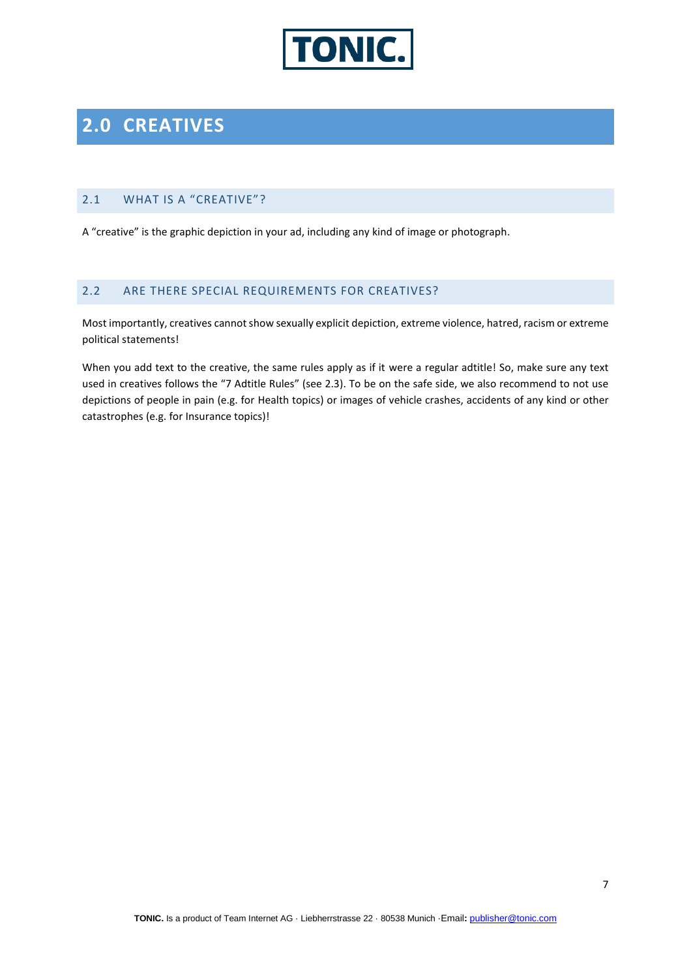

# **2.0 CREATIVES**

# 2.1 WHAT IS A "CREATIVE"?

A "creative" is the graphic depiction in your ad, including any kind of image or photograph.

## 2.2 ARE THERE SPECIAL REQUIREMENTS FOR CREATIVES?

Most importantly, creatives cannot show sexually explicit depiction, extreme violence, hatred, racism or extreme political statements!

When you add text to the creative, the same rules apply as if it were a regular adtitle! So, make sure any text used in creatives follows the "7 Adtitle Rules" (see 2.3). To be on the safe side, we also recommend to not use depictions of people in pain (e.g. for Health topics) or images of vehicle crashes, accidents of any kind or other catastrophes (e.g. for Insurance topics)!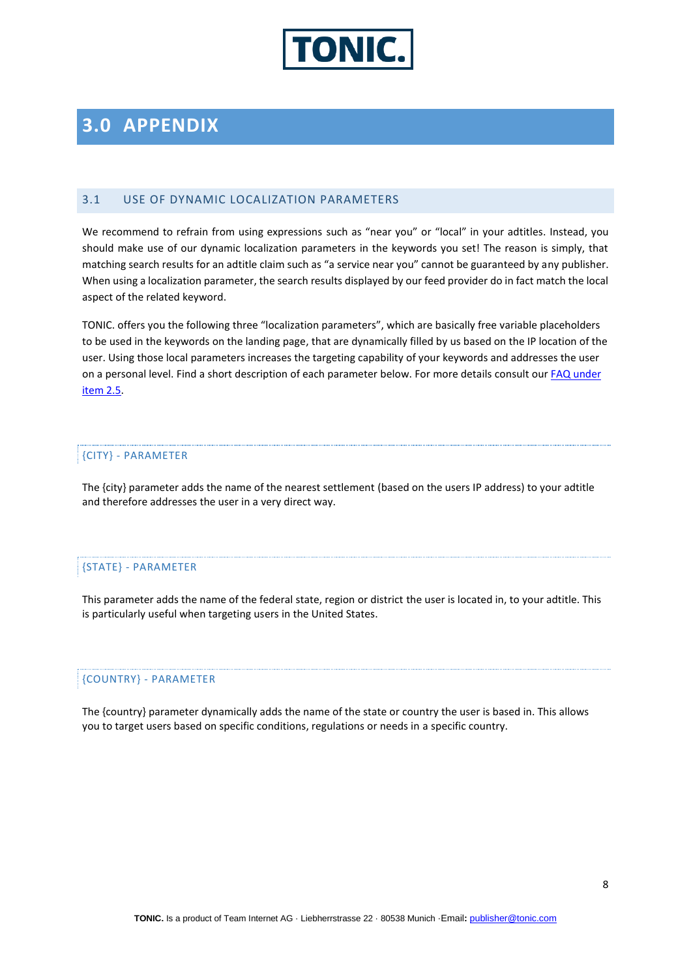

# **3.0 APPENDIX**

#### 3.1 USE OF DYNAMIC LOCALIZATION PARAMETERS

We recommend to refrain from using expressions such as "near you" or "local" in your adtitles. Instead, you should make use of our dynamic localization parameters in the keywords you set! The reason is simply, that matching search results for an adtitle claim such as "a service near you" cannot be guaranteed by any publisher. When using a localization parameter, the search results displayed by our feed provider do in fact match the local aspect of the related keyword.

TONIC. offers you the following three "localization parameters", which are basically free variable placeholders to be used in the keywords on the landing page, that are dynamically filled by us based on the IP location of the user. Using those local parameters increases the targeting capability of your keywords and addresses the user on a personal level. Find a short description of each parameter below. For more details consult our FAQ under [item 2.5.](https://publisher.tonic.com/privileged/faq#working_with_tonic_5)

#### {CITY} - PARAMETER

The {city} parameter adds the name of the nearest settlement (based on the users IP address) to your adtitle and therefore addresses the user in a very direct way.

#### {STATE} - PARAMETER

This parameter adds the name of the federal state, region or district the user is located in, to your adtitle. This is particularly useful when targeting users in the United States.

#### {COUNTRY} - PARAMETER

The {country} parameter dynamically adds the name of the state or country the user is based in. This allows you to target users based on specific conditions, regulations or needs in a specific country.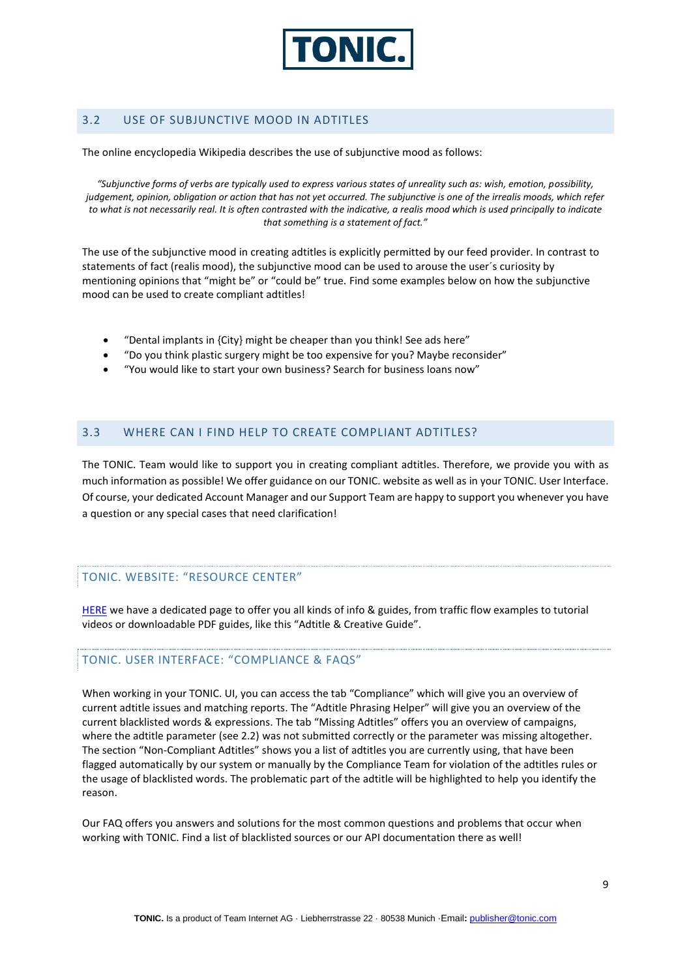

# 3.2 USE OF SUBJUNCTIVE MOOD IN ADTITLES

The online encyclopedia Wikipedia describes the use of subjunctive mood as follows:

*"Subjunctive forms of verbs are typically used to express various states of unreality such as: wish, emotion, possibility, judgement, opinion, obligation or action that has not yet occurred. The subjunctive is one of the irrealis moods, which refer to what is not necessarily real. It is often contrasted with the indicative, a realis mood which is used principally to indicate that something is a statement of fact."*

The use of the subjunctive mood in creating adtitles is explicitly permitted by our feed provider. In contrast to statements of fact (realis mood), the subjunctive mood can be used to arouse the user´s curiosity by mentioning opinions that "might be" or "could be" true. Find some examples below on how the subjunctive mood can be used to create compliant adtitles!

- "Dental implants in {City} might be cheaper than you think! See ads here"
- "Do you think plastic surgery might be too expensive for you? Maybe reconsider"
- "You would like to start your own business? Search for business loans now"

## 3.3 WHERE CAN I FIND HELP TO CREATE COMPLIANT ADTITLES?

The TONIC. Team would like to support you in creating compliant adtitles. Therefore, we provide you with as much information as possible! We offer guidance on our TONIC. website as well as in your TONIC. User Interface. Of course, your dedicated Account Manager and our Support Team are happy to support you whenever you have a question or any special cases that need clarification!

#### TONIC. WEBSITE: "RESOURCE CENTER"

[HERE](https://tonic.com/monetize/resource-center.html) we have a dedicated page to offer you all kinds of info & guides, from traffic flow examples to tutorial videos or downloadable PDF guides, like this "Adtitle & Creative Guide".

## TONIC. USER INTERFACE: "COMPLIANCE & FAQS"

When working in your TONIC. UI, you can access the tab "Compliance" which will give you an overview of current adtitle issues and matching reports. The "Adtitle Phrasing Helper" will give you an overview of the current blacklisted words & expressions. The tab "Missing Adtitles" offers you an overview of campaigns, where the adtitle parameter (see 2.2) was not submitted correctly or the parameter was missing altogether. The section "Non-Compliant Adtitles" shows you a list of adtitles you are currently using, that have been flagged automatically by our system or manually by the Compliance Team for violation of the adtitles rules or the usage of blacklisted words. The problematic part of the adtitle will be highlighted to help you identify the reason.

Our FAQ offers you answers and solutions for the most common questions and problems that occur when working with TONIC. Find a list of blacklisted sources or our API documentation there as well!